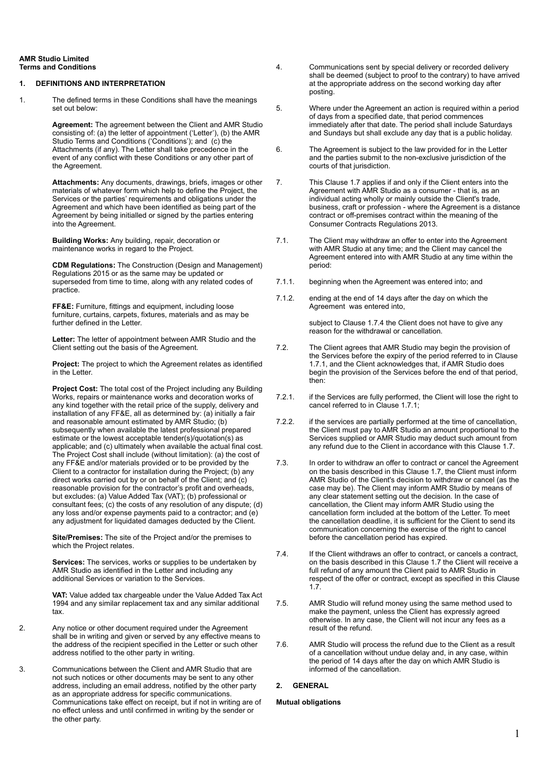#### **AMR Studio Limited Terms and Conditions**

## **1. DEFINITIONS AND INTERPRETATION**

1. The defined terms in these Conditions shall have the meanings set out below:

> **Agreement:** The agreement between the Client and AMR Studio consisting of: (a) the letter of appointment ('Letter'), (b) the AMR Studio Terms and Conditions ('Conditions'); and (c) the Attachments (if any). The Letter shall take precedence in the event of any conflict with these Conditions or any other part of the Agreement.

> **Attachments:** Any documents, drawings, briefs, images or other materials of whatever form which help to define the Project, the Services or the parties' requirements and obligations under the Agreement and which have been identified as being part of the Agreement by being initialled or signed by the parties entering into the Agreement.

**Building Works:** Any building, repair, decoration or maintenance works in regard to the Project.

**CDM Regulations:** The Construction (Design and Management) Regulations 2015 or as the same may be updated or superseded from time to time, along with any related codes of practice.

**FF&E:** Furniture, fittings and equipment, including loose furniture, curtains, carpets, fixtures, materials and as may be further defined in the Letter.

**Letter:** The letter of appointment between AMR Studio and the Client setting out the basis of the Agreement.

**Project:** The project to which the Agreement relates as identified in the Letter.

**Project Cost:** The total cost of the Project including any Building Works, repairs or maintenance works and decoration works of any kind together with the retail price of the supply, delivery and installation of any FF&E, all as determined by: (a) initially a fair and reasonable amount estimated by AMR Studio; (b) subsequently when available the latest professional prepared estimate or the lowest acceptable tender(s)/quotation(s) as applicable; and (c) ultimately when available the actual final cost. The Project Cost shall include (without limitation): (a) the cost of any FF&E and/or materials provided or to be provided by the Client to a contractor for installation during the Project; (b) any direct works carried out by or on behalf of the Client; and (c) reasonable provision for the contractor's profit and overheads, but excludes: (a) Value Added Tax (VAT); (b) professional or consultant fees; (c) the costs of any resolution of any dispute; (d) any loss and/or expense payments paid to a contractor; and (e) any adjustment for liquidated damages deducted by the Client.

**Site/Premises:** The site of the Project and/or the premises to which the Project relates.

**Services:** The services, works or supplies to be undertaken by AMR Studio as identified in the Letter and including any additional Services or variation to the Services.

**VAT:** Value added tax chargeable under the Value Added Tax Act 1994 and any similar replacement tax and any similar additional tax.

- 2. Any notice or other document required under the Agreement shall be in writing and given or served by any effective means to the address of the recipient specified in the Letter or such other address notified to the other party in writing.
- 3. Communications between the Client and AMR Studio that are not such notices or other documents may be sent to any other address, including an email address, notified by the other party as an appropriate address for specific communications. Communications take effect on receipt, but if not in writing are of no effect unless and until confirmed in writing by the sender or the other party.
- 4. Communications sent by special delivery or recorded delivery shall be deemed (subject to proof to the contrary) to have arrived at the appropriate address on the second working day after posting.
- 5. Where under the Agreement an action is required within a period of days from a specified date, that period commences immediately after that date. The period shall include Saturdays and Sundays but shall exclude any day that is a public holiday.
- 6. The Agreement is subject to the law provided for in the Letter and the parties submit to the non-exclusive jurisdiction of the courts of that jurisdiction.
- 7. This Clause 1.7 applies if and only if the Client enters into the Agreement with AMR Studio as a consumer - that is, as an individual acting wholly or mainly outside the Client's trade, business, craft or profession - where the Agreement is a distance contract or off-premises contract within the meaning of the Consumer Contracts Regulations 2013.
- 7.1. The Client may withdraw an offer to enter into the Agreement with AMR Studio at any time; and the Client may cancel the Agreement entered into with AMR Studio at any time within the period:
- 7.1.1. beginning when the Agreement was entered into; and
- 7.1.2. ending at the end of 14 days after the day on which the Agreement was entered into,

subiect to Clause 1.7.4 the Client does not have to give any reason for the withdrawal or cancellation.

- 7.2. The Client agrees that AMR Studio may begin the provision of the Services before the expiry of the period referred to in Clause 1.7.1, and the Client acknowledges that, if AMR Studio does begin the provision of the Services before the end of that period, then:
- 7.2.1. if the Services are fully performed, the Client will lose the right to cancel referred to in Clause 1.7.1;
- 7.2.2. if the services are partially performed at the time of cancellation, the Client must pay to AMR Studio an amount proportional to the Services supplied or AMR Studio may deduct such amount from any refund due to the Client in accordance with this Clause 1.7.
- 7.3. In order to withdraw an offer to contract or cancel the Agreement on the basis described in this Clause 1.7, the Client must inform AMR Studio of the Client's decision to withdraw or cancel (as the case may be). The Client may inform AMR Studio by means of any clear statement setting out the decision. In the case of cancellation, the Client may inform AMR Studio using the cancellation form included at the bottom of the Letter. To meet the cancellation deadline, it is sufficient for the Client to send its communication concerning the exercise of the right to cancel before the cancellation period has expired.
- 7.4. If the Client withdraws an offer to contract, or cancels a contract, on the basis described in this Clause 1.7 the Client will receive a full refund of any amount the Client paid to AMR Studio in respect of the offer or contract, except as specified in this Clause 1.7.
- 7.5. AMR Studio will refund money using the same method used to make the payment, unless the Client has expressly agreed otherwise. In any case, the Client will not incur any fees as a result of the refund.
- 7.6. AMR Studio will process the refund due to the Client as a result of a cancellation without undue delay and, in any case, within the period of 14 days after the day on which AMR Studio is informed of the cancellation.

# **2. GENERAL**

#### **Mutual obligations**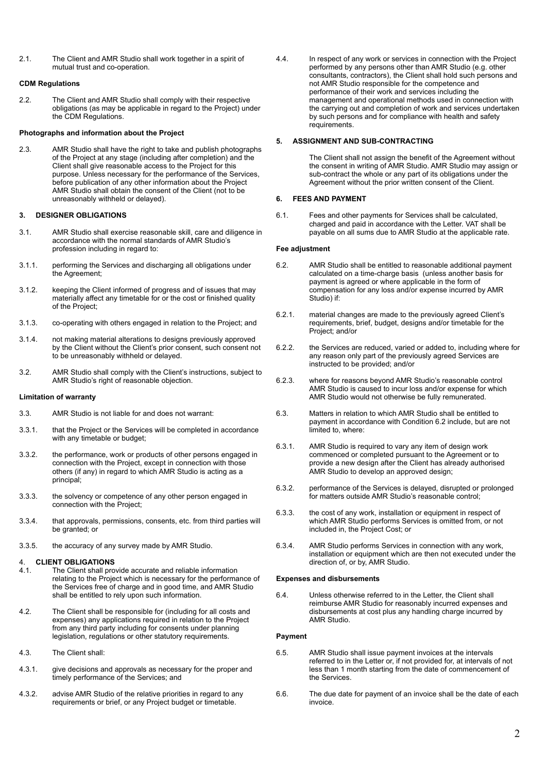2.1. The Client and AMR Studio shall work together in a spirit of mutual trust and co-operation.

# **CDM Regulations**

2.2. The Client and AMR Studio shall comply with their respective obligations (as may be applicable in regard to the Project) under the CDM Regulations.

## **Photographs and information about the Project**

2.3. AMR Studio shall have the right to take and publish photographs of the Project at any stage (including after completion) and the Client shall give reasonable access to the Project for this purpose. Unless necessary for the performance of the Services, before publication of any other information about the Project AMR Studio shall obtain the consent of the Client (not to be unreasonably withheld or delayed).

# **3. DESIGNER OBLIGATIONS**

- 3.1. AMR Studio shall exercise reasonable skill, care and diligence in accordance with the normal standards of AMR Studio's profession including in regard to:
- 3.1.1. performing the Services and discharging all obligations under the Agreement;
- 3.1.2. keeping the Client informed of progress and of issues that may materially affect any timetable for or the cost or finished quality of the Project;
- 3.1.3. co-operating with others engaged in relation to the Project; and
- 3.1.4. not making material alterations to designs previously approved by the Client without the Client's prior consent, such consent not to be unreasonably withheld or delayed.
- 3.2. AMR Studio shall comply with the Client's instructions, subject to AMR Studio's right of reasonable objection.

# **Limitation of warranty**

- 3.3. AMR Studio is not liable for and does not warrant:
- 3.3.1. that the Project or the Services will be completed in accordance with any timetable or budget;
- 3.3.2. the performance, work or products of other persons engaged in connection with the Project, except in connection with those others (if any) in regard to which AMR Studio is acting as a principal;
- 3.3.3. the solvency or competence of any other person engaged in connection with the Project;
- 3.3.4. that approvals, permissions, consents, etc. from third parties will be granted; or
- 3.3.5. the accuracy of any survey made by AMR Studio.

### 4. **CLIENT OBLIGATIONS**

- 4.1. The Client shall provide accurate and reliable information relating to the Project which is necessary for the performance of the Services free of charge and in good time, and AMR Studio shall be entitled to rely upon such information.
- 4.2. The Client shall be responsible for (including for all costs and expenses) any applications required in relation to the Project from any third party including for consents under planning legislation, regulations or other statutory requirements.
- 4.3. The Client shall:
- 4.3.1. give decisions and approvals as necessary for the proper and timely performance of the Services; and
- 4.3.2. advise AMR Studio of the relative priorities in regard to any requirements or brief, or any Project budget or timetable.

4.4. In respect of any work or services in connection with the Project performed by any persons other than AMR Studio (e.g. other consultants, contractors), the Client shall hold such persons and not AMR Studio responsible for the competence and performance of their work and services including the management and operational methods used in connection with the carrying out and completion of work and services undertaken by such persons and for compliance with health and safety requirements.

# **5. ASSIGNMENT AND SUB-CONTRACTING**

The Client shall not assign the benefit of the Agreement without the consent in writing of AMR Studio. AMR Studio may assign or sub-contract the whole or any part of its obligations under the Agreement without the prior written consent of the Client.

# **6. FEES AND PAYMENT**

6.1. Fees and other payments for Services shall be calculated, charged and paid in accordance with the Letter. VAT shall be payable on all sums due to AMR Studio at the applicable rate.

### **Fee adjustment**

- 6.2. AMR Studio shall be entitled to reasonable additional payment calculated on a time-charge basis (unless another basis for payment is agreed or where applicable in the form of compensation for any loss and/or expense incurred by AMR Studio) if:
- 6.2.1. material changes are made to the previously agreed Client's requirements, brief, budget, designs and/or timetable for the Project; and/or
- 6.2.2. the Services are reduced, varied or added to, including where for any reason only part of the previously agreed Services are instructed to be provided; and/or
- 6.2.3. where for reasons beyond AMR Studio's reasonable control AMR Studio is caused to incur loss and/or expense for which AMR Studio would not otherwise be fully remunerated.
- 6.3. Matters in relation to which AMR Studio shall be entitled to payment in accordance with Condition 6.2 include, but are not limited to, where:
- 6.3.1. AMR Studio is required to vary any item of design work commenced or completed pursuant to the Agreement or to provide a new design after the Client has already authorised AMR Studio to develop an approved design;
- 6.3.2. performance of the Services is delayed, disrupted or prolonged for matters outside AMR Studio's reasonable control;
- 6.3.3. the cost of any work, installation or equipment in respect of which AMR Studio performs Services is omitted from, or not included in, the Project Cost; or
- 6.3.4. AMR Studio performs Services in connection with any work, installation or equipment which are then not executed under the direction of, or by, AMR Studio.

## **Expenses and disbursements**

6.4. Unless otherwise referred to in the Letter, the Client shall reimburse AMR Studio for reasonably incurred expenses and disbursements at cost plus any handling charge incurred by AMR Studio.

# **Payment**

- 6.5. AMR Studio shall issue payment invoices at the intervals referred to in the Letter or, if not provided for, at intervals of not less than 1 month starting from the date of commencement of the Services.
- 6.6. The due date for payment of an invoice shall be the date of each invoice.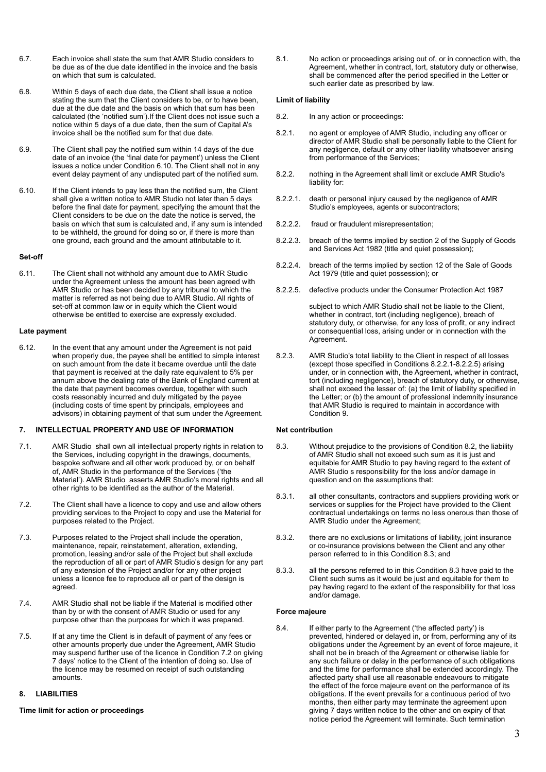- 6.7. Each invoice shall state the sum that AMR Studio considers to be due as of the due date identified in the invoice and the basis on which that sum is calculated.
- 6.8. Within 5 days of each due date, the Client shall issue a notice stating the sum that the Client considers to be, or to have been. due at the due date and the basis on which that sum has been calculated (the 'notified sum').If the Client does not issue such a notice within 5 days of a due date, then the sum of Capital A's invoice shall be the notified sum for that due date.
- 6.9. The Client shall pay the notified sum within 14 days of the due date of an invoice (the 'final date for payment') unless the Client issues a notice under Condition 6.10. The Client shall not in any event delay payment of any undisputed part of the notified sum.
- 6.10. If the Client intends to pay less than the notified sum, the Client shall give a written notice to AMR Studio not later than 5 days before the final date for payment, specifying the amount that the Client considers to be due on the date the notice is served, the basis on which that sum is calculated and, if any sum is intended to be withheld, the ground for doing so or, if there is more than one ground, each ground and the amount attributable to it.

#### **Set-off**

6.11. The Client shall not withhold any amount due to AMR Studio under the Agreement unless the amount has been agreed with AMR Studio or has been decided by any tribunal to which the matter is referred as not being due to AMR Studio. All rights of set-off at common law or in equity which the Client would otherwise be entitled to exercise are expressly excluded.

#### **Late payment**

6.12. In the event that any amount under the Agreement is not paid when properly due, the payee shall be entitled to simple interest on such amount from the date it became overdue until the date that payment is received at the daily rate equivalent to 5% per annum above the dealing rate of the Bank of England current at the date that payment becomes overdue, together with such costs reasonably incurred and duly mitigated by the payee (including costs of time spent by principals, employees and advisors) in obtaining payment of that sum under the Agreement.

## **7. INTELLECTUAL PROPERTY AND USE OF INFORMATION**

- 7.1. AMR Studio shall own all intellectual property rights in relation to the Services, including copyright in the drawings, documents, bespoke software and all other work produced by, or on behalf of, AMR Studio in the performance of the Services ('the Material'). AMR Studio asserts AMR Studio's moral rights and all other rights to be identified as the author of the Material.
- 7.2. The Client shall have a licence to copy and use and allow others providing services to the Project to copy and use the Material for purposes related to the Project.
- 7.3. Purposes related to the Project shall include the operation, maintenance, repair, reinstatement, alteration, extending, promotion, leasing and/or sale of the Project but shall exclude the reproduction of all or part of AMR Studio's design for any part of any extension of the Project and/or for any other project unless a licence fee to reproduce all or part of the design is agreed.
- 7.4. AMR Studio shall not be liable if the Material is modified other than by or with the consent of AMR Studio or used for any purpose other than the purposes for which it was prepared.
- 7.5. If at any time the Client is in default of payment of any fees or other amounts properly due under the Agreement, AMR Studio may suspend further use of the licence in Condition 7.2 on giving 7 days' notice to the Client of the intention of doing so. Use of the licence may be resumed on receipt of such outstanding amounts.

### **8. LIABILITIES**

#### **Time limit for action or proceedings**

8.1. No action or proceedings arising out of, or in connection with, the Agreement, whether in contract, tort, statutory duty or otherwise, shall be commenced after the period specified in the Letter or such earlier date as prescribed by law.

#### **Limit of liability**

- 8.2. In any action or proceedings:
- 8.2.1. no agent or employee of AMR Studio, including any officer or director of AMR Studio shall be personally liable to the Client for any negligence, default or any other liability whatsoever arising from performance of the Services;
- 8.2.2. nothing in the Agreement shall limit or exclude AMR Studio's liability for:
- 8.2.2.1. death or personal injury caused by the negligence of AMR Studio's employees, agents or subcontractors;
- 8.2.2.2. fraud or fraudulent misrepresentation;
- 8.2.2.3. breach of the terms implied by section 2 of the Supply of Goods and Services Act 1982 (title and quiet possession);
- 8.2.2.4. breach of the terms implied by section 12 of the Sale of Goods Act 1979 (title and quiet possession); or
- 8.2.2.5. defective products under the Consumer Protection Act 1987

subject to which AMR Studio shall not be liable to the Client, whether in contract, tort (including negligence), breach of statutory duty, or otherwise, for any loss of profit, or any indirect or consequential loss, arising under or in connection with the Agreement.

8.2.3. AMR Studio's total liability to the Client in respect of all losses (except those specified in Conditions 8.2.2.1-8.2.2.5) arising under, or in connection with, the Agreement, whether in contract, tort (including negligence), breach of statutory duty, or otherwise, shall not exceed the lesser of: (a) the limit of liability specified in the Letter; or (b) the amount of professional indemnity insurance that AMR Studio is required to maintain in accordance with Condition 9.

## **Net contribution**

- 8.3. Without prejudice to the provisions of Condition 8.2, the liability of AMR Studio shall not exceed such sum as it is just and equitable for AMR Studio to pay having regard to the extent of AMR Studio s responsibility for the loss and/or damage in question and on the assumptions that:
- 8.3.1. all other consultants, contractors and suppliers providing work or services or supplies for the Project have provided to the Client contractual undertakings on terms no less onerous than those of AMR Studio under the Agreement;
- 8.3.2. there are no exclusions or limitations of liability, joint insurance or co-insurance provisions between the Client and any other person referred to in this Condition 8.3; and
- 8.3.3. all the persons referred to in this Condition 8.3 have paid to the Client such sums as it would be just and equitable for them to pay having regard to the extent of the responsibility for that loss and/or damage.

### **Force majeure**

8.4. If either party to the Agreement ('the affected party') is prevented, hindered or delayed in, or from, performing any of its obligations under the Agreement by an event of force majeure, it shall not be in breach of the Agreement or otherwise liable for any such failure or delay in the performance of such obligations and the time for performance shall be extended accordingly. The affected party shall use all reasonable endeavours to mitigate the effect of the force majeure event on the performance of its obligations. If the event prevails for a continuous period of two months, then either party may terminate the agreement upon giving 7 days written notice to the other and on expiry of that notice period the Agreement will terminate. Such termination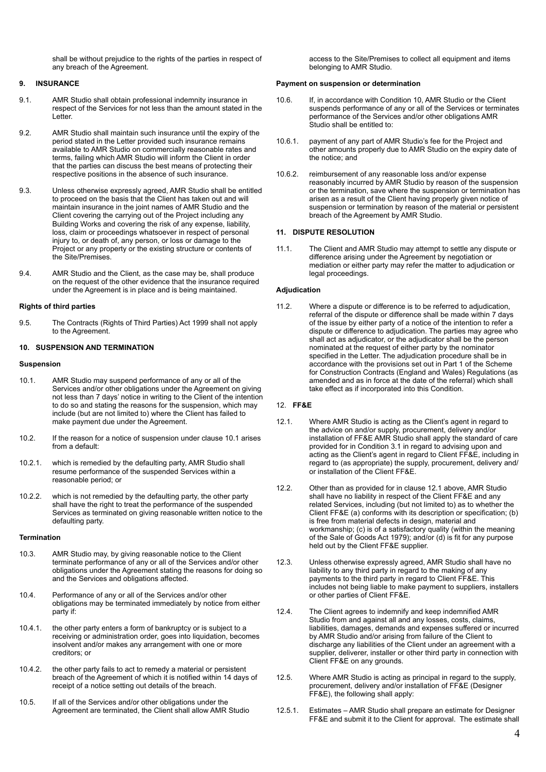shall be without prejudice to the rights of the parties in respect of any breach of the Agreement.

## **9. INSURANCE**

- 9.1. AMR Studio shall obtain professional indemnity insurance in respect of the Services for not less than the amount stated in the Letter.
- 9.2. AMR Studio shall maintain such insurance until the expiry of the period stated in the Letter provided such insurance remains available to AMR Studio on commercially reasonable rates and terms, failing which AMR Studio will inform the Client in order that the parties can discuss the best means of protecting their respective positions in the absence of such insurance.
- 9.3. Unless otherwise expressly agreed, AMR Studio shall be entitled to proceed on the basis that the Client has taken out and will maintain insurance in the joint names of AMR Studio and the Client covering the carrying out of the Project including any Building Works and covering the risk of any expense, liability, loss, claim or proceedings whatsoever in respect of personal injury to, or death of, any person, or loss or damage to the Project or any property or the existing structure or contents of the Site/Premises.
- 9.4. AMR Studio and the Client, as the case may be, shall produce on the request of the other evidence that the insurance required under the Agreement is in place and is being maintained.

### **Rights of third parties**

9.5. The Contracts (Rights of Third Parties) Act 1999 shall not apply to the Agreement.

# **10. SUSPENSION AND TERMINATION**

### **Suspension**

- 10.1. AMR Studio may suspend performance of any or all of the Services and/or other obligations under the Agreement on giving not less than 7 days' notice in writing to the Client of the intention to do so and stating the reasons for the suspension, which may include (but are not limited to) where the Client has failed to make payment due under the Agreement.
- 10.2. If the reason for a notice of suspension under clause 10.1 arises from a default:
- 10.2.1. which is remedied by the defaulting party, AMR Studio shall resume performance of the suspended Services within a reasonable period; or
- 10.2.2. which is not remedied by the defaulting party, the other party shall have the right to treat the performance of the suspended Services as terminated on giving reasonable written notice to the defaulting party.

### **Termination**

- 10.3. AMR Studio may, by giving reasonable notice to the Client terminate performance of any or all of the Services and/or other obligations under the Agreement stating the reasons for doing so and the Services and obligations affected.
- 10.4. Performance of any or all of the Services and/or other obligations may be terminated immediately by notice from either party if:
- 10.4.1. the other party enters a form of bankruptcy or is subject to a receiving or administration order, goes into liquidation, becomes insolvent and/or makes any arrangement with one or more creditors; or
- 10.4.2. the other party fails to act to remedy a material or persistent breach of the Agreement of which it is notified within 14 days of receipt of a notice setting out details of the breach.
- 10.5. If all of the Services and/or other obligations under the Agreement are terminated, the Client shall allow AMR Studio

access to the Site/Premises to collect all equipment and items belonging to AMR Studio.

#### **Payment on suspension or determination**

- 10.6. If, in accordance with Condition 10, AMR Studio or the Client suspends performance of any or all of the Services or terminates performance of the Services and/or other obligations AMR Studio shall be entitled to:
- 10.6.1. payment of any part of AMR Studio's fee for the Project and other amounts properly due to AMR Studio on the expiry date of the notice; and
- 10.6.2. reimbursement of any reasonable loss and/or expense reasonably incurred by AMR Studio by reason of the suspension or the termination, save where the suspension or termination has arisen as a result of the Client having properly given notice of suspension or termination by reason of the material or persistent breach of the Agreement by AMR Studio.

### **11. DISPUTE RESOLUTION**

11.1. The Client and AMR Studio may attempt to settle any dispute or difference arising under the Agreement by negotiation or mediation or either party may refer the matter to adjudication or legal proceedings.

#### **Adjudication**

11.2. Where a dispute or difference is to be referred to adjudication, referral of the dispute or difference shall be made within 7 days of the issue by either party of a notice of the intention to refer a dispute or difference to adjudication. The parties may agree who shall act as adjudicator, or the adjudicator shall be the person nominated at the request of either party by the nominator specified in the Letter. The adjudication procedure shall be in accordance with the provisions set out in Part 1 of the Scheme for Construction Contracts (England and Wales) Regulations (as amended and as in force at the date of the referral) which shall take effect as if incorporated into this Condition.

# 12. **FF&E**

- 12.1. Where AMR Studio is acting as the Client's agent in regard to the advice on and/or supply, procurement, delivery and/or installation of FF&E AMR Studio shall apply the standard of care provided for in Condition 3.1 in regard to advising upon and acting as the Client's agent in regard to Client FF&E, including in regard to (as appropriate) the supply, procurement, delivery and/ or installation of the Client FF&E.
- 12.2. Other than as provided for in clause 12.1 above, AMR Studio shall have no liability in respect of the Client FF&E and any related Services, including (but not limited to) as to whether the Client FF&E (a) conforms with its description or specification; (b) is free from material defects in design, material and workmanship; (c) is of a satisfactory quality (within the meaning of the Sale of Goods Act 1979); and/or (d) is fit for any purpose held out by the Client FF&E supplier.
- 12.3. Unless otherwise expressly agreed, AMR Studio shall have no liability to any third party in regard to the making of any payments to the third party in regard to Client FF&E. This includes not being liable to make payment to suppliers, installers or other parties of Client FF&E.
- 12.4. The Client agrees to indemnify and keep indemnified AMR Studio from and against all and any losses, costs, claims, liabilities, damages, demands and expenses suffered or incurred by AMR Studio and/or arising from failure of the Client to discharge any liabilities of the Client under an agreement with a supplier, deliverer, installer or other third party in connection with Client FF&E on any grounds.
- 12.5. Where AMR Studio is acting as principal in regard to the supply, procurement, delivery and/or installation of FF&E (Designer FF&E), the following shall apply:
- 12.5.1. Estimates AMR Studio shall prepare an estimate for Designer FF&E and submit it to the Client for approval. The estimate shall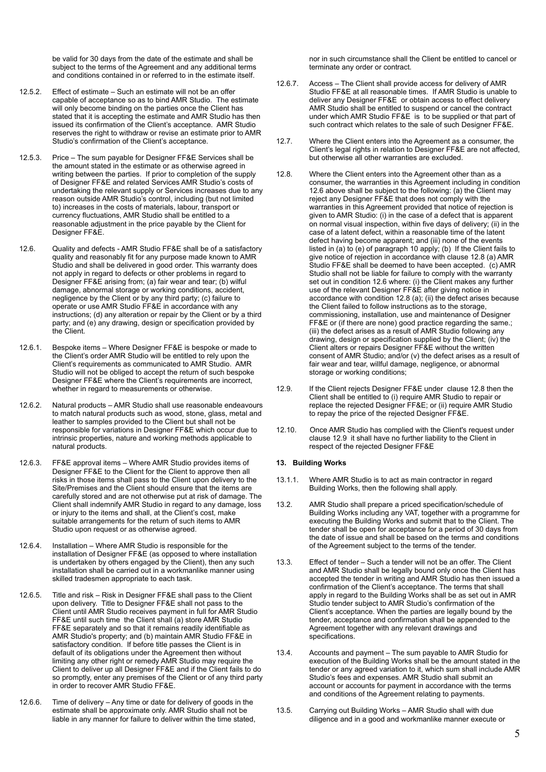be valid for 30 days from the date of the estimate and shall be subject to the terms of the Agreement and any additional terms and conditions contained in or referred to in the estimate itself.

- 12.5.2. Effect of estimate Such an estimate will not be an offer capable of acceptance so as to bind AMR Studio. The estimate will only become binding on the parties once the Client has stated that it is accepting the estimate and AMR Studio has then issued its confirmation of the Client's acceptance. AMR Studio reserves the right to withdraw or revise an estimate prior to AMR Studio's confirmation of the Client's acceptance.
- 12.5.3. Price The sum payable for Designer FF&E Services shall be the amount stated in the estimate or as otherwise agreed in writing between the parties. If prior to completion of the supply of Designer FF&E and related Services AMR Studio's costs of undertaking the relevant supply or Services increases due to any reason outside AMR Studio's control, including (but not limited to) increases in the costs of materials, labour, transport or currency fluctuations, AMR Studio shall be entitled to a reasonable adjustment in the price payable by the Client for Designer FF&E.
- 12.6. Quality and defects AMR Studio FF&E shall be of a satisfactory quality and reasonably fit for any purpose made known to AMR Studio and shall be delivered in good order. This warranty does not apply in regard to defects or other problems in regard to Designer FF&E arising from; (a) fair wear and tear; (b) wilful damage, abnormal storage or working conditions, accident, negligence by the Client or by any third party; (c) failure to operate or use AMR Studio FF&E in accordance with any instructions; (d) any alteration or repair by the Client or by a third party; and (e) any drawing, design or specification provided by the Client.
- 12.6.1. Bespoke items Where Designer FF&E is bespoke or made to the Client's order AMR Studio will be entitled to rely upon the Client's requirements as communicated to AMR Studio. AMR Studio will not be obliged to accept the return of such bespoke Designer FF&E where the Client's requirements are incorrect, whether in regard to measurements or otherwise.
- 12.6.2. Natural products AMR Studio shall use reasonable endeavours to match natural products such as wood, stone, glass, metal and leather to samples provided to the Client but shall not be responsible for variations in Designer FF&E which occur due to intrinsic properties, nature and working methods applicable to natural products.
- 12.6.3. FF&E approval items Where AMR Studio provides items of Designer FF&E to the Client for the Client to approve then all risks in those items shall pass to the Client upon delivery to the Site/Premises and the Client should ensure that the items are carefully stored and are not otherwise put at risk of damage. The Client shall indemnify AMR Studio in regard to any damage, loss or injury to the items and shall, at the Client's cost, make suitable arrangements for the return of such items to AMR Studio upon request or as otherwise agreed.
- 12.6.4. Installation Where AMR Studio is responsible for the installation of Designer FF&E (as opposed to where installation is undertaken by others engaged by the Client), then any such installation shall be carried out in a workmanlike manner using skilled tradesmen appropriate to each task.
- 12.6.5. Title and risk Risk in Designer FF&E shall pass to the Client upon delivery. Title to Designer FF&E shall not pass to the Client until AMR Studio receives payment in full for AMR Studio FF&E until such time the Client shall (a) store AMR Studio FF&E separately and so that it remains readily identifiable as AMR Studio's property; and (b) maintain AMR Studio FF&E in satisfactory condition. If before title passes the Client is in default of its obligations under the Agreement then without limiting any other right or remedy AMR Studio may require the Client to deliver up all Designer FF&E and if the Client fails to do so promptly, enter any premises of the Client or of any third party in order to recover AMR Studio FF&E.
- 12.6.6. Time of delivery Any time or date for delivery of goods in the estimate shall be approximate only. AMR Studio shall not be liable in any manner for failure to deliver within the time stated,

nor in such circumstance shall the Client be entitled to cancel or terminate any order or contract.

- 12.6.7. Access The Client shall provide access for delivery of AMR Studio FF&E at all reasonable times. If AMR Studio is unable to deliver any Designer FF&E or obtain access to effect delivery AMR Studio shall be entitled to suspend or cancel the contract under which AMR Studio FF&E is to be supplied or that part of such contract which relates to the sale of such Designer FF&E.
- 12.7. Where the Client enters into the Agreement as a consumer, the Client's legal rights in relation to Designer FF&E are not affected. but otherwise all other warranties are excluded.
- 12.8. Where the Client enters into the Agreement other than as a consumer, the warranties in this Agreement including in condition 12.6 above shall be subject to the following: (a) the Client may reject any Designer FF&E that does not comply with the warranties in this Agreement provided that notice of rejection is given to AMR Studio: (i) in the case of a defect that is apparent on normal visual inspection, within five days of delivery; (ii) in the case of a latent defect, within a reasonable time of the latent defect having become apparent; and (iii) none of the events listed in (a) to (e) of paragraph 10 apply; (b) If the Client fails to give notice of rejection in accordance with clause 12.8 (a) AMR Studio FF&E shall be deemed to have been accepted. (c) AMR Studio shall not be liable for failure to comply with the warranty set out in condition 12.6 where: (i) the Client makes any further use of the relevant Designer FF&E after giving notice in accordance with condition 12.8 (a); (ii) the defect arises because the Client failed to follow instructions as to the storage, commissioning, installation, use and maintenance of Designer FF&E or (if there are none) good practice regarding the same.; (iii) the defect arises as a result of AMR Studio following any drawing, design or specification supplied by the Client; (iv) the Client alters or repairs Designer FF&E without the written consent of AMR Studio; and/or (v) the defect arises as a result of fair wear and tear, willful damage, negligence, or abnormal storage or working conditions;
- 12.9. If the Client rejects Designer FF&E under clause 12.8 then the Client shall be entitled to (i) require AMR Studio to repair or replace the rejected Designer FF&E; or (ii) require AMR Studio to repay the price of the rejected Designer FF&E.
- 12.10. Once AMR Studio has complied with the Client's request under clause 12.9 it shall have no further liability to the Client in respect of the rejected Designer FF&E

### **13. Building Works**

- 13.1.1. Where AMR Studio is to act as main contractor in regard Building Works, then the following shall apply.
- 13.2. AMR Studio shall prepare a priced specification/schedule of Building Works including any VAT, together with a programme for executing the Building Works and submit that to the Client. The tender shall be open for acceptance for a period of 30 days from the date of issue and shall be based on the terms and conditions of the Agreement subject to the terms of the tender.
- 13.3. Effect of tender Such a tender will not be an offer. The Client and AMR Studio shall be legally bound only once the Client has accepted the tender in writing and AMR Studio has then issued a confirmation of the Client's acceptance. The terms that shall apply in regard to the Building Works shall be as set out in AMR Studio tender subject to AMR Studio's confirmation of the Client's acceptance. When the parties are legally bound by the tender, acceptance and confirmation shall be appended to the Agreement together with any relevant drawings and specifications.
- 13.4. Accounts and payment The sum payable to AMR Studio for execution of the Building Works shall be the amount stated in the tender or any agreed variation to it, which sum shall include AMR Studio's fees and expenses. AMR Studio shall submit an account or accounts for payment in accordance with the terms and conditions of the Agreement relating to payments.
- 13.5. Carrying out Building Works AMR Studio shall with due diligence and in a good and workmanlike manner execute or